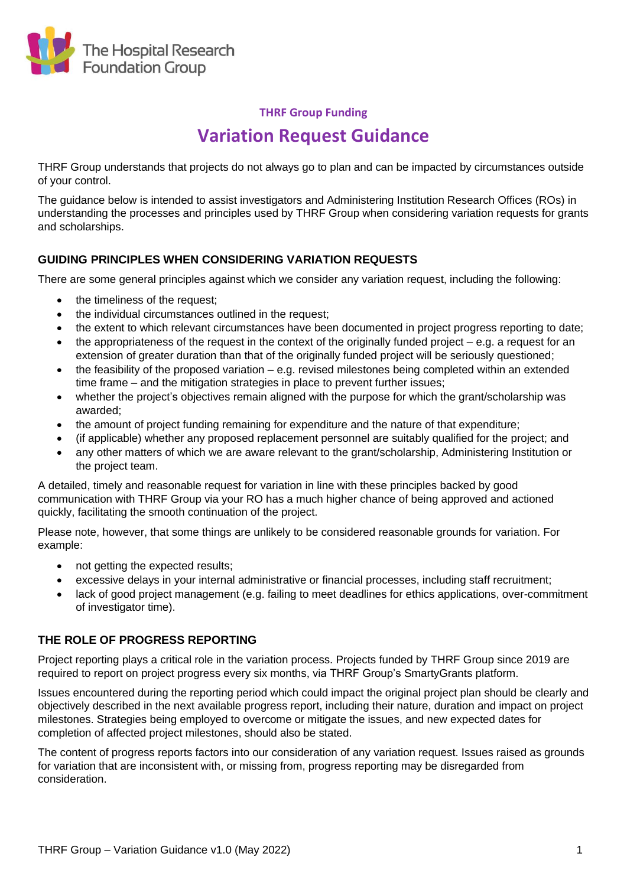

## **THRF Group Funding**

# **Variation Request Guidance**

THRF Group understands that projects do not always go to plan and can be impacted by circumstances outside of your control.

The guidance below is intended to assist investigators and Administering Institution Research Offices (ROs) in understanding the processes and principles used by THRF Group when considering variation requests for grants and scholarships.

## **GUIDING PRINCIPLES WHEN CONSIDERING VARIATION REQUESTS**

There are some general principles against which we consider any variation request, including the following:

- the timeliness of the request;
- the individual circumstances outlined in the request;
- the extent to which relevant circumstances have been documented in project progress reporting to date;
- the appropriateness of the request in the context of the originally funded project e.g. a request for an extension of greater duration than that of the originally funded project will be seriously questioned;
- the feasibility of the proposed variation e.g. revised milestones being completed within an extended time frame – and the mitigation strategies in place to prevent further issues;
- whether the project's objectives remain aligned with the purpose for which the grant/scholarship was awarded;
- the amount of project funding remaining for expenditure and the nature of that expenditure;
- (if applicable) whether any proposed replacement personnel are suitably qualified for the project; and
- any other matters of which we are aware relevant to the grant/scholarship, Administering Institution or the project team.

A detailed, timely and reasonable request for variation in line with these principles backed by good communication with THRF Group via your RO has a much higher chance of being approved and actioned quickly, facilitating the smooth continuation of the project.

Please note, however, that some things are unlikely to be considered reasonable grounds for variation. For example:

- not getting the expected results;
- excessive delays in your internal administrative or financial processes, including staff recruitment;
- lack of good project management (e.g. failing to meet deadlines for ethics applications, over-commitment of investigator time).

### **THE ROLE OF PROGRESS REPORTING**

Project reporting plays a critical role in the variation process. Projects funded by THRF Group since 2019 are required to report on project progress every six months, via THRF Group's SmartyGrants platform.

Issues encountered during the reporting period which could impact the original project plan should be clearly and objectively described in the next available progress report, including their nature, duration and impact on project milestones. Strategies being employed to overcome or mitigate the issues, and new expected dates for completion of affected project milestones, should also be stated.

The content of progress reports factors into our consideration of any variation request. Issues raised as grounds for variation that are inconsistent with, or missing from, progress reporting may be disregarded from consideration.